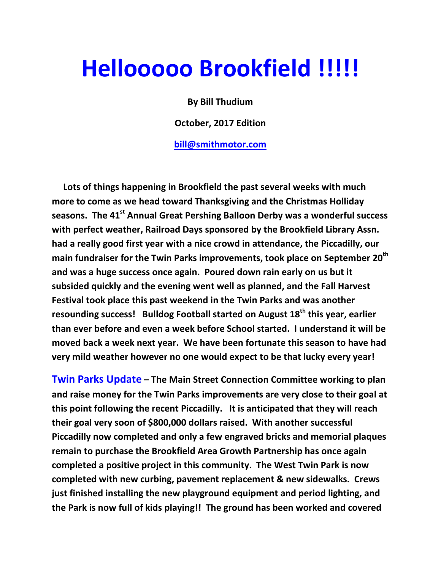# Hellooooo Brookfield !!!!!

By Bill Thudium

October, 2017 Edition

bill@smithmotor.com

 Lots of things happening in Brookfield the past several weeks with much more to come as we head toward Thanksgiving and the Christmas Holliday seasons. The 41<sup>st</sup> Annual Great Pershing Balloon Derby was a wonderful success with perfect weather, Railroad Days sponsored by the Brookfield Library Assn. had a really good first year with a nice crowd in attendance, the Piccadilly, our main fundraiser for the Twin Parks improvements, took place on September 20<sup>th</sup> and was a huge success once again. Poured down rain early on us but it subsided quickly and the evening went well as planned, and the Fall Harvest Festival took place this past weekend in the Twin Parks and was another resounding success! Bulldog Football started on August 18<sup>th</sup> this year, earlier than ever before and even a week before School started. I understand it will be moved back a week next year. We have been fortunate this season to have had very mild weather however no one would expect to be that lucky every year!

Twin Parks Update – The Main Street Connection Committee working to plan and raise money for the Twin Parks improvements are very close to their goal at this point following the recent Piccadilly. It is anticipated that they will reach their goal very soon of \$800,000 dollars raised. With another successful Piccadilly now completed and only a few engraved bricks and memorial plaques remain to purchase the Brookfield Area Growth Partnership has once again completed a positive project in this community. The West Twin Park is now completed with new curbing, pavement replacement & new sidewalks. Crews just finished installing the new playground equipment and period lighting, and the Park is now full of kids playing!! The ground has been worked and covered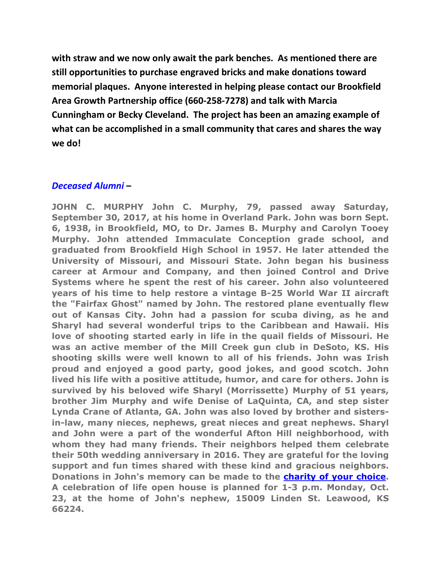with straw and we now only await the park benches. As mentioned there are still opportunities to purchase engraved bricks and make donations toward memorial plaques. Anyone interested in helping please contact our Brookfield Area Growth Partnership office (660-258-7278) and talk with Marcia Cunningham or Becky Cleveland. The project has been an amazing example of what can be accomplished in a small community that cares and shares the way we do!

### Deceased Alumni –

JOHN C. MURPHY John C. Murphy, 79, passed away Saturday, September 30, 2017, at his home in Overland Park. John was born Sept. 6, 1938, in Brookfield, MO, to Dr. James B. Murphy and Carolyn Tooey Murphy. John attended Immaculate Conception grade school, and graduated from Brookfield High School in 1957. He later attended the University of Missouri, and Missouri State. John began his business career at Armour and Company, and then joined Control and Drive Systems where he spent the rest of his career. John also volunteered years of his time to help restore a vintage B-25 World War II aircraft the "Fairfax Ghost" named by John. The restored plane eventually flew out of Kansas City. John had a passion for scuba diving, as he and Sharyl had several wonderful trips to the Caribbean and Hawaii. His love of shooting started early in life in the quail fields of Missouri. He was an active member of the Mill Creek gun club in DeSoto, KS. His shooting skills were well known to all of his friends. John was Irish proud and enjoyed a good party, good jokes, and good scotch. John lived his life with a positive attitude, humor, and care for others. John is survived by his beloved wife Sharyl (Morrissette) Murphy of 51 years, brother Jim Murphy and wife Denise of LaQuinta, CA, and step sister Lynda Crane of Atlanta, GA. John was also loved by brother and sistersin-law, many nieces, nephews, great nieces and great nephews. Sharyl and John were a part of the wonderful Afton Hill neighborhood, with whom they had many friends. Their neighbors helped them celebrate their 50th wedding anniversary in 2016. They are grateful for the loving support and fun times shared with these kind and gracious neighbors. Donations in John's memory can be made to the **charity of your choice**. A celebration of life open house is planned for 1-3 p.m. Monday, Oct. 23, at the home of John's nephew, 15009 Linden St. Leawood, KS 66224.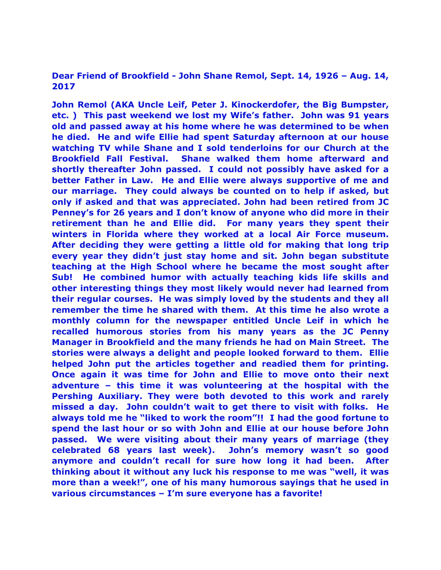#### Dear Friend of Brookfield - John Shane Remol, Sept. 14, 1926 – Aug. 14, 2017

John Remol (AKA Uncle Leif, Peter J. Kinockerdofer, the Big Bumpster, etc. ) This past weekend we lost my Wife's father. John was 91 years old and passed away at his home where he was determined to be when he died. He and wife Ellie had spent Saturday afternoon at our house watching TV while Shane and I sold tenderloins for our Church at the Brookfield Fall Festival. Shane walked them home afterward and shortly thereafter John passed. I could not possibly have asked for a better Father in Law. He and Ellie were always supportive of me and our marriage. They could always be counted on to help if asked, but only if asked and that was appreciated. John had been retired from JC Penney's for 26 years and I don't know of anyone who did more in their retirement than he and Ellie did. For many years they spent their winters in Florida where they worked at a local Air Force museum. After deciding they were getting a little old for making that long trip every year they didn't just stay home and sit. John began substitute teaching at the High School where he became the most sought after Sub! He combined humor with actually teaching kids life skills and other interesting things they most likely would never had learned from their regular courses. He was simply loved by the students and they all remember the time he shared with them. At this time he also wrote a monthly column for the newspaper entitled Uncle Leif in which he recalled humorous stories from his many years as the JC Penny Manager in Brookfield and the many friends he had on Main Street. The stories were always a delight and people looked forward to them. Ellie helped John put the articles together and readied them for printing. Once again it was time for John and Ellie to move onto their next adventure – this time it was volunteering at the hospital with the Pershing Auxiliary. They were both devoted to this work and rarely missed a day. John couldn't wait to get there to visit with folks. He always told me he "liked to work the room"!! I had the good fortune to spend the last hour or so with John and Ellie at our house before John passed. We were visiting about their many years of marriage (they celebrated 68 years last week). John's memory wasn't so good anymore and couldn't recall for sure how long it had been. After thinking about it without any luck his response to me was "well, it was more than a week!", one of his many humorous sayings that he used in various circumstances – I'm sure everyone has a favorite!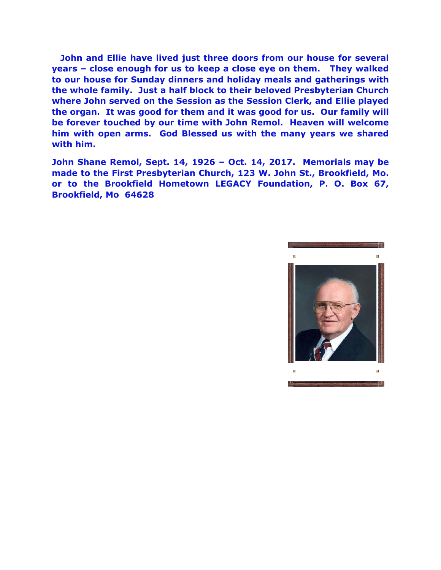John and Ellie have lived just three doors from our house for several years – close enough for us to keep a close eye on them. They walked to our house for Sunday dinners and holiday meals and gatherings with the whole family. Just a half block to their beloved Presbyterian Church where John served on the Session as the Session Clerk, and Ellie played the organ. It was good for them and it was good for us. Our family will be forever touched by our time with John Remol. Heaven will welcome him with open arms. God Blessed us with the many years we shared with him.

John Shane Remol, Sept. 14, 1926 – Oct. 14, 2017. Memorials may be made to the First Presbyterian Church, 123 W. John St., Brookfield, Mo. or to the Brookfield Hometown LEGACY Foundation, P. O. Box 67, Brookfield, Mo 64628

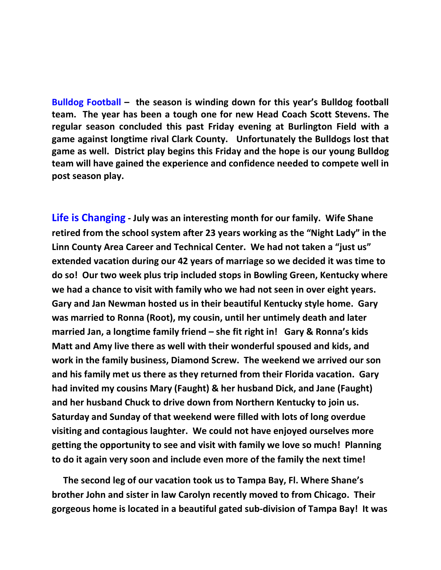Bulldog Football – the season is winding down for this year's Bulldog football team. The year has been a tough one for new Head Coach Scott Stevens. The regular season concluded this past Friday evening at Burlington Field with a game against longtime rival Clark County. Unfortunately the Bulldogs lost that game as well. District play begins this Friday and the hope is our young Bulldog team will have gained the experience and confidence needed to compete well in post season play.

Life is Changing - July was an interesting month for our family. Wife Shane retired from the school system after 23 years working as the "Night Lady" in the Linn County Area Career and Technical Center. We had not taken a "just us" extended vacation during our 42 years of marriage so we decided it was time to do so! Our two week plus trip included stops in Bowling Green, Kentucky where we had a chance to visit with family who we had not seen in over eight years. Gary and Jan Newman hosted us in their beautiful Kentucky style home. Gary was married to Ronna (Root), my cousin, until her untimely death and later married Jan, a longtime family friend – she fit right in! Gary & Ronna's kids Matt and Amy live there as well with their wonderful spoused and kids, and work in the family business, Diamond Screw. The weekend we arrived our son and his family met us there as they returned from their Florida vacation. Gary had invited my cousins Mary (Faught) & her husband Dick, and Jane (Faught) and her husband Chuck to drive down from Northern Kentucky to join us. Saturday and Sunday of that weekend were filled with lots of long overdue visiting and contagious laughter. We could not have enjoyed ourselves more getting the opportunity to see and visit with family we love so much! Planning to do it again very soon and include even more of the family the next time!

 The second leg of our vacation took us to Tampa Bay, Fl. Where Shane's brother John and sister in law Carolyn recently moved to from Chicago. Their gorgeous home is located in a beautiful gated sub-division of Tampa Bay! It was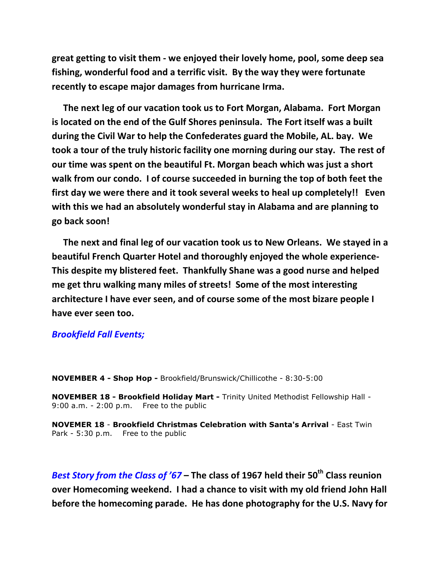great getting to visit them - we enjoyed their lovely home, pool, some deep sea fishing, wonderful food and a terrific visit. By the way they were fortunate recently to escape major damages from hurricane Irma.

 The next leg of our vacation took us to Fort Morgan, Alabama. Fort Morgan is located on the end of the Gulf Shores peninsula. The Fort itself was a built during the Civil War to help the Confederates guard the Mobile, AL. bay. We took a tour of the truly historic facility one morning during our stay. The rest of our time was spent on the beautiful Ft. Morgan beach which was just a short walk from our condo. I of course succeeded in burning the top of both feet the first day we were there and it took several weeks to heal up completely!! Even with this we had an absolutely wonderful stay in Alabama and are planning to go back soon!

 The next and final leg of our vacation took us to New Orleans. We stayed in a beautiful French Quarter Hotel and thoroughly enjoyed the whole experience-This despite my blistered feet. Thankfully Shane was a good nurse and helped me get thru walking many miles of streets! Some of the most interesting architecture I have ever seen, and of course some of the most bizare people I have ever seen too.

#### Brookfield Fall Events;

NOVEMBER 4 - Shop Hop - Brookfield/Brunswick/Chillicothe - 8:30-5:00

NOVEMBER 18 - Brookfield Holiday Mart - Trinity United Methodist Fellowship Hall - 9:00 a.m. - 2:00 p.m. Free to the public

NOVEMER 18 - Brookfield Christmas Celebration with Santa's Arrival - East Twin Park - 5:30 p.m. Free to the public

Best Story from the Class of '67 – The class of 1967 held their 50<sup>th</sup> Class reunion over Homecoming weekend. I had a chance to visit with my old friend John Hall before the homecoming parade. He has done photography for the U.S. Navy for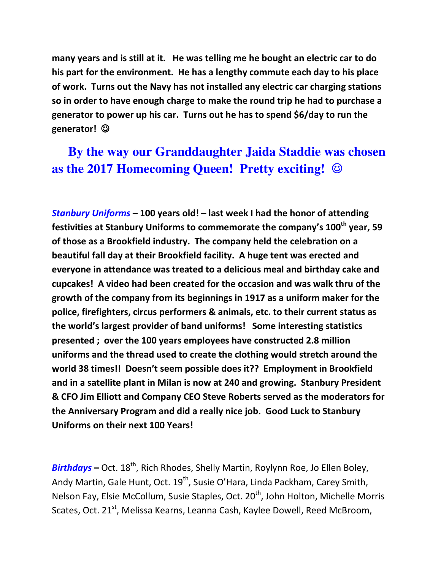many years and is still at it. He was telling me he bought an electric car to do his part for the environment. He has a lengthy commute each day to his place of work. Turns out the Navy has not installed any electric car charging stations so in order to have enough charge to make the round trip he had to purchase a generator to power up his car. Turns out he has to spend \$6/day to run the generator! ☺

## **By the way our Granddaughter Jaida Staddie was chosen as the 2017 Homecoming Queen! Pretty exciting! ☺**

Stanbury Uniforms – 100 years old! – last week I had the honor of attending festivities at Stanbury Uniforms to commemorate the company's 100<sup>th</sup> year, 59 of those as a Brookfield industry. The company held the celebration on a beautiful fall day at their Brookfield facility. A huge tent was erected and everyone in attendance was treated to a delicious meal and birthday cake and cupcakes! A video had been created for the occasion and was walk thru of the growth of the company from its beginnings in 1917 as a uniform maker for the police, firefighters, circus performers & animals, etc. to their current status as the world's largest provider of band uniforms! Some interesting statistics presented ; over the 100 years employees have constructed 2.8 million uniforms and the thread used to create the clothing would stretch around the world 38 times!! Doesn't seem possible does it?? Employment in Brookfield and in a satellite plant in Milan is now at 240 and growing. Stanbury President & CFO Jim Elliott and Company CEO Steve Roberts served as the moderators for the Anniversary Program and did a really nice job. Good Luck to Stanbury Uniforms on their next 100 Years!

**Birthdays** – Oct.  $18^{th}$ , Rich Rhodes, Shelly Martin, Roylynn Roe, Jo Ellen Boley, Andy Martin, Gale Hunt, Oct. 19<sup>th</sup>, Susie O'Hara, Linda Packham, Carey Smith, Nelson Fay, Elsie McCollum, Susie Staples, Oct. 20<sup>th</sup>, John Holton, Michelle Morris Scates, Oct. 21<sup>st</sup>, Melissa Kearns, Leanna Cash, Kaylee Dowell, Reed McBroom,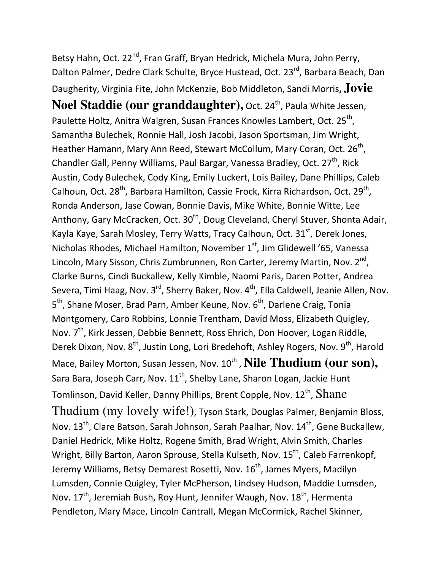Betsy Hahn, Oct. 22<sup>nd</sup>, Fran Graff, Bryan Hedrick, Michela Mura, John Perry, Dalton Palmer, Dedre Clark Schulte, Bryce Hustead, Oct. 23<sup>rd</sup>, Barbara Beach, Dan Daugherity, Virginia Fite, John McKenzie, Bob Middleton, Sandi Morris, **Jovie Noel Staddie (our granddaughter), Oct. 24<sup>th</sup>, Paula White Jessen,** Paulette Holtz, Anitra Walgren, Susan Frances Knowles Lambert, Oct. 25<sup>th</sup>, Samantha Bulechek, Ronnie Hall, Josh Jacobi, Jason Sportsman, Jim Wright, Heather Hamann, Mary Ann Reed, Stewart McCollum, Mary Coran, Oct. 26<sup>th</sup>, Chandler Gall, Penny Williams, Paul Bargar, Vanessa Bradley, Oct. 27<sup>th</sup>, Rick Austin, Cody Bulechek, Cody King, Emily Luckert, Lois Bailey, Dane Phillips, Caleb Calhoun, Oct. 28<sup>th</sup>, Barbara Hamilton, Cassie Frock, Kirra Richardson, Oct. 29<sup>th</sup>, Ronda Anderson, Jase Cowan, Bonnie Davis, Mike White, Bonnie Witte, Lee Anthony, Gary McCracken, Oct. 30<sup>th</sup>, Doug Cleveland, Cheryl Stuver, Shonta Adair, Kayla Kaye, Sarah Mosley, Terry Watts, Tracy Calhoun, Oct. 31<sup>st</sup>, Derek Jones, Nicholas Rhodes, Michael Hamilton, November 1<sup>st</sup>, Jim Glidewell '65, Vanessa Lincoln, Mary Sisson, Chris Zumbrunnen, Ron Carter, Jeremy Martin, Nov. 2<sup>nd</sup>, Clarke Burns, Cindi Buckallew, Kelly Kimble, Naomi Paris, Daren Potter, Andrea Severa, Timi Haag, Nov.  $3^{rd}$ , Sherry Baker, Nov.  $4^{th}$ , Ella Caldwell, Jeanie Allen, Nov. 5<sup>th</sup>, Shane Moser, Brad Parn, Amber Keune, Nov. 6<sup>th</sup>, Darlene Craig, Tonia Montgomery, Caro Robbins, Lonnie Trentham, David Moss, Elizabeth Quigley, Nov. 7<sup>th</sup>, Kirk Jessen, Debbie Bennett, Ross Ehrich, Don Hoover, Logan Riddle, Derek Dixon, Nov. 8<sup>th</sup>, Justin Long, Lori Bredehoft, Ashley Rogers, Nov. 9<sup>th</sup>, Harold Mace, Bailey Morton, Susan Jessen, Nov. 10<sup>th</sup> , **Nile Thudium (our son),** Sara Bara, Joseph Carr, Nov.  $11^{th}$ , Shelby Lane, Sharon Logan, Jackie Hunt Tomlinson, David Keller, Danny Phillips, Brent Copple, Nov.  $12^\text{th}$ ,  $\rm{Shane}$ Thudium (my lovely wife!), Tyson Stark, Douglas Palmer, Benjamin Bloss, Nov. 13<sup>th</sup>, Clare Batson, Sarah Johnson, Sarah Paalhar, Nov. 14<sup>th</sup>, Gene Buckallew, Daniel Hedrick, Mike Holtz, Rogene Smith, Brad Wright, Alvin Smith, Charles Wright, Billy Barton, Aaron Sprouse, Stella Kulseth, Nov. 15<sup>th</sup>, Caleb Farrenkopf, Jeremy Williams, Betsy Demarest Rosetti, Nov. 16<sup>th</sup>, James Myers, Madilyn Lumsden, Connie Quigley, Tyler McPherson, Lindsey Hudson, Maddie Lumsden, Nov.  $17<sup>th</sup>$ , Jeremiah Bush, Roy Hunt, Jennifer Waugh, Nov.  $18<sup>th</sup>$ , Hermenta Pendleton, Mary Mace, Lincoln Cantrall, Megan McCormick, Rachel Skinner,